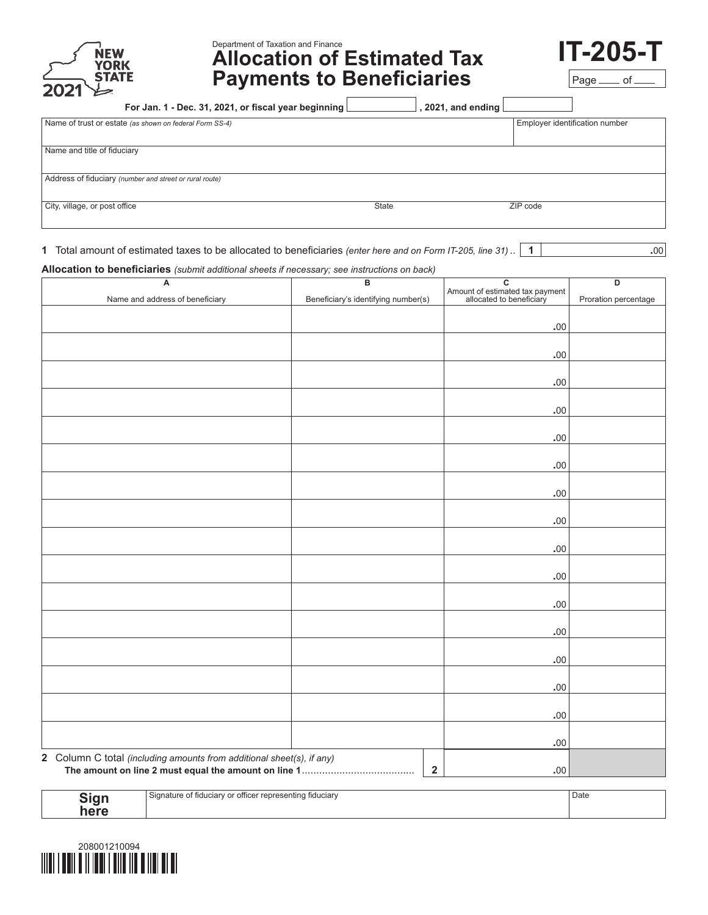

# Department of Taxation and Finance **Allocation of Estimated Tax Payments to Beneficiaries**



| For Jan. 1 - Dec. 31, 2021, or fiscal year beginning    | , 2021, and ending $\lfloor$ |                                |
|---------------------------------------------------------|------------------------------|--------------------------------|
| Name of trust or estate (as shown on federal Form SS-4) |                              | Employer identification number |
|                                                         |                              |                                |
| Name and title of fiduciary                             |                              |                                |
|                                                         |                              |                                |
| Address of fiduciary (number and street or rural route) |                              |                                |
|                                                         |                              |                                |
| City, village, or post office<br><b>State</b>           | ZIP code                     |                                |

**1** Total amount of estimated taxes to be allocated to beneficiaries *(enter here and on Form IT-205, line 31)* .. **1 1** ...

**Allocation to beneficiaries** *(submit additional sheets if necessary; see instructions on back)*

| A                                                                     | B                                   | $\overline{\mathbf{c}}$                                     | D                    |
|-----------------------------------------------------------------------|-------------------------------------|-------------------------------------------------------------|----------------------|
| Name and address of beneficiary                                       | Beneficiary's identifying number(s) | Amount of estimated tax payment<br>allocated to beneficiary | Proration percentage |
|                                                                       |                                     |                                                             |                      |
|                                                                       |                                     | .00                                                         |                      |
|                                                                       |                                     |                                                             |                      |
|                                                                       |                                     | .00                                                         |                      |
|                                                                       |                                     |                                                             |                      |
|                                                                       |                                     | .00                                                         |                      |
|                                                                       |                                     |                                                             |                      |
|                                                                       |                                     | .00                                                         |                      |
|                                                                       |                                     | .00                                                         |                      |
|                                                                       |                                     |                                                             |                      |
|                                                                       |                                     | .00                                                         |                      |
|                                                                       |                                     |                                                             |                      |
|                                                                       |                                     | .00                                                         |                      |
|                                                                       |                                     |                                                             |                      |
|                                                                       |                                     | $.00$                                                       |                      |
|                                                                       |                                     |                                                             |                      |
|                                                                       |                                     | .00                                                         |                      |
|                                                                       |                                     |                                                             |                      |
|                                                                       |                                     | .00                                                         |                      |
|                                                                       |                                     | .00                                                         |                      |
|                                                                       |                                     |                                                             |                      |
|                                                                       |                                     | .00                                                         |                      |
|                                                                       |                                     |                                                             |                      |
|                                                                       |                                     | .00                                                         |                      |
|                                                                       |                                     |                                                             |                      |
|                                                                       |                                     | .00                                                         |                      |
|                                                                       |                                     |                                                             |                      |
|                                                                       |                                     | .00                                                         |                      |
|                                                                       |                                     |                                                             |                      |
| 2 Column C total (including amounts from additional sheet(s), if any) |                                     | .00                                                         |                      |
|                                                                       | $\boldsymbol{2}$                    | $.00$                                                       |                      |
|                                                                       |                                     |                                                             |                      |

| <b>Tinn</b> | r officer representing fiduciarv<br>، Signature of fiduciarv | Date |
|-------------|--------------------------------------------------------------|------|
| ייפ<br>here |                                                              |      |